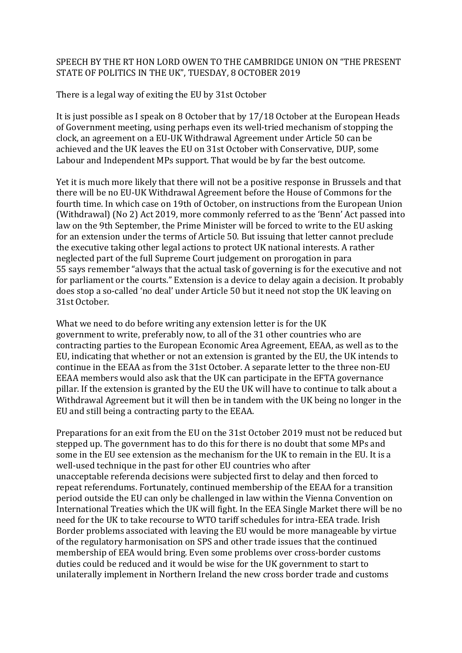## SPEECH BY THE RT HON LORD OWEN TO THE CAMBRIDGE UNION ON "THE PRESENT STATE OF POLITICS IN THE UK", TUESDAY, 8 OCTOBER 2019

There is a legal way of exiting the EU by 31st October

It is just possible as I speak on 8 October that by  $17/18$  October at the European Heads of Government meeting, using perhaps even its well-tried mechanism of stopping the clock, an agreement on a EU-UK Withdrawal Agreement under Article 50 can be achieved and the UK leaves the EU on 31st October with Conservative, DUP, some Labour and Independent MPs support. That would be by far the best outcome.

Yet it is much more likely that there will not be a positive response in Brussels and that there will be no EU-UK Withdrawal Agreement before the House of Commons for the fourth time. In which case on 19th of October, on instructions from the European Union (Withdrawal) (No 2) Act 2019, more commonly referred to as the 'Benn' Act passed into law on the 9th September, the Prime Minister will be forced to write to the EU asking for an extension under the terms of Article 50. But issuing that letter cannot preclude the executive taking other legal actions to protect UK national interests. A rather neglected part of the full Supreme Court judgement on prorogation in para 55 says remember "always that the actual task of governing is for the executive and not for parliament or the courts." Extension is a device to delay again a decision. It probably does stop a so-called 'no deal' under Article 50 but it need not stop the UK leaving on 31st October.

What we need to do before writing any extension letter is for the UK government to write, preferably now, to all of the 31 other countries who are contracting parties to the European Economic Area Agreement, EEAA, as well as to the EU, indicating that whether or not an extension is granted by the EU, the UK intends to continue in the EEAA as from the 31st October. A separate letter to the three non-EU EEAA members would also ask that the UK can participate in the EFTA governance pillar. If the extension is granted by the EU the UK will have to continue to talk about a Withdrawal Agreement but it will then be in tandem with the UK being no longer in the EU and still being a contracting party to the EEAA.

Preparations for an exit from the EU on the 31st October 2019 must not be reduced but stepped up. The government has to do this for there is no doubt that some MPs and some in the EU see extension as the mechanism for the UK to remain in the EU. It is a well-used technique in the past for other EU countries who after unacceptable referenda decisions were subjected first to delay and then forced to repeat referendums. Fortunately, continued membership of the EEAA for a transition period outside the EU can only be challenged in law within the Vienna Convention on International Treaties which the UK will fight. In the EEA Single Market there will be no need for the UK to take recourse to WTO tariff schedules for intra-EEA trade. Irish Border problems associated with leaving the EU would be more manageable by virtue of the regulatory harmonisation on SPS and other trade issues that the continued membership of EEA would bring. Even some problems over cross-border customs duties could be reduced and it would be wise for the UK government to start to unilaterally implement in Northern Ireland the new cross border trade and customs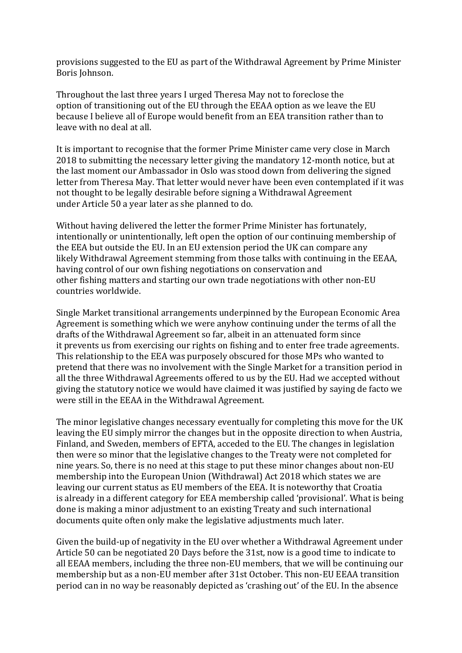provisions suggested to the EU as part of the Withdrawal Agreement by Prime Minister Boris Johnson.

Throughout the last three years I urged Theresa May not to foreclose the option of transitioning out of the EU through the EEAA option as we leave the EU because I believe all of Europe would benefit from an EEA transition rather than to leave with no deal at all.

It is important to recognise that the former Prime Minister came very close in March 2018 to submitting the necessary letter giving the mandatory 12-month notice, but at the last moment our Ambassador in Oslo was stood down from delivering the signed letter from Theresa May. That letter would never have been even contemplated if it was not thought to be legally desirable before signing a Withdrawal Agreement under Article 50 a year later as she planned to do.

Without having delivered the letter the former Prime Minister has fortunately, intentionally or unintentionally, left open the option of our continuing membership of the EEA but outside the EU. In an EU extension period the UK can compare any likely Withdrawal Agreement stemming from those talks with continuing in the EEAA, having control of our own fishing negotiations on conservation and other fishing matters and starting our own trade negotiations with other non-EU countries worldwide.

Single Market transitional arrangements underpinned by the European Economic Area Agreement is something which we were anyhow continuing under the terms of all the drafts of the Withdrawal Agreement so far, albeit in an attenuated form since it prevents us from exercising our rights on fishing and to enter free trade agreements. This relationship to the EEA was purposely obscured for those MPs who wanted to pretend that there was no involvement with the Single Market for a transition period in all the three Withdrawal Agreements offered to us by the EU. Had we accepted without giving the statutory notice we would have claimed it was justified by saying de facto we were still in the EEAA in the Withdrawal Agreement.

The minor legislative changes necessary eventually for completing this move for the UK leaving the EU simply mirror the changes but in the opposite direction to when Austria, Finland, and Sweden, members of EFTA, acceded to the EU. The changes in legislation then were so minor that the legislative changes to the Treaty were not completed for nine years. So, there is no need at this stage to put these minor changes about non-EU membership into the European Union (Withdrawal) Act 2018 which states we are leaving our current status as EU members of the EEA. It is noteworthy that Croatia is already in a different category for EEA membership called 'provisional'. What is being done is making a minor adjustment to an existing Treaty and such international documents quite often only make the legislative adjustments much later.

Given the build-up of negativity in the EU over whether a Withdrawal Agreement under Article 50 can be negotiated 20 Days before the 31st, now is a good time to indicate to all EEAA members, including the three non-EU members, that we will be continuing our membership but as a non-EU member after 31st October. This non-EU EEAA transition period can in no way be reasonably depicted as 'crashing out' of the EU. In the absence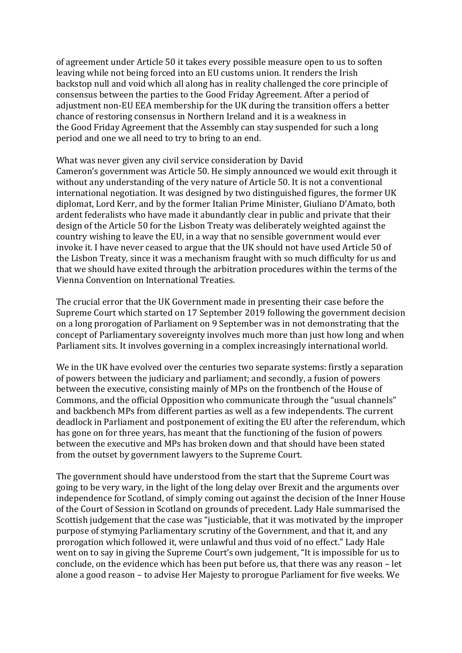of agreement under Article 50 it takes every possible measure open to us to soften leaving while not being forced into an EU customs union. It renders the Irish backstop null and void which all along has in reality challenged the core principle of consensus between the parties to the Good Friday Agreement. After a period of adjustment non-EU EEA membership for the UK during the transition offers a better chance of restoring consensus in Northern Ireland and it is a weakness in the Good Friday Agreement that the Assembly can stay suspended for such a long period and one we all need to try to bring to an end.

What was never given any civil service consideration by David Cameron's government was Article 50. He simply announced we would exit through it without any understanding of the very nature of Article 50. It is not a conventional international negotiation. It was designed by two distinguished figures, the former UK diplomat, Lord Kerr, and by the former Italian Prime Minister, Giuliano D'Amato, both ardent federalists who have made it abundantly clear in public and private that their design of the Article 50 for the Lisbon Treaty was deliberately weighted against the country wishing to leave the EU, in a way that no sensible government would ever invoke it. I have never ceased to argue that the UK should not have used Article 50 of the Lisbon Treaty, since it was a mechanism fraught with so much difficulty for us and that we should have exited through the arbitration procedures within the terms of the Vienna Convention on International Treaties.

The crucial error that the UK Government made in presenting their case before the Supreme Court which started on 17 September 2019 following the government decision on a long prorogation of Parliament on 9 September was in not demonstrating that the concept of Parliamentary sovereignty involves much more than just how long and when Parliament sits. It involves governing in a complex increasingly international world.

We in the UK have evolved over the centuries two separate systems: firstly a separation of powers between the judiciary and parliament; and secondly, a fusion of powers between the executive, consisting mainly of MPs on the frontbench of the House of Commons, and the official Opposition who communicate through the "usual channels" and backbench MPs from different parties as well as a few independents. The current deadlock in Parliament and postponement of exiting the EU after the referendum, which has gone on for three years, has meant that the functioning of the fusion of powers between the executive and MPs has broken down and that should have been stated from the outset by government lawyers to the Supreme Court.

The government should have understood from the start that the Supreme Court was going to be very wary, in the light of the long delay over Brexit and the arguments over independence for Scotland, of simply coming out against the decision of the Inner House of the Court of Session in Scotland on grounds of precedent. Lady Hale summarised the Scottish judgement that the case was "justiciable, that it was motivated by the improper purpose of stymying Parliamentary scrutiny of the Government, and that it, and any prorogation which followed it, were unlawful and thus void of no effect." Lady Hale went on to say in giving the Supreme Court's own judgement, "It is impossible for us to conclude, on the evidence which has been put before us, that there was any reason  $-$  let alone a good reason – to advise Her Majesty to prorogue Parliament for five weeks. We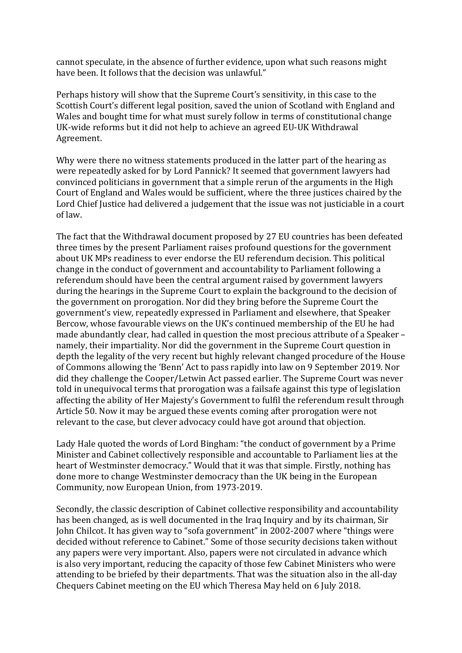cannot speculate, in the absence of further evidence, upon what such reasons might have been. It follows that the decision was unlawful."

Perhaps history will show that the Supreme Court's sensitivity, in this case to the Scottish Court's different legal position, saved the union of Scotland with England and Wales and bought time for what must surely follow in terms of constitutional change UK-wide reforms but it did not help to achieve an agreed EU-UK Withdrawal Agreement.

Why were there no witness statements produced in the latter part of the hearing as were repeatedly asked for by Lord Pannick? It seemed that government lawyers had convinced politicians in government that a simple rerun of the arguments in the High Court of England and Wales would be sufficient, where the three justices chaired by the Lord Chief Justice had delivered a judgement that the issue was not justiciable in a court of law.

The fact that the Withdrawal document proposed by 27 EU countries has been defeated three times by the present Parliament raises profound questions for the government about UK MPs readiness to ever endorse the EU referendum decision. This political change in the conduct of government and accountability to Parliament following a referendum should have been the central argument raised by government lawyers during the hearings in the Supreme Court to explain the background to the decision of the government on prorogation. Nor did they bring before the Supreme Court the government's view, repeatedly expressed in Parliament and elsewhere, that Speaker Bercow, whose favourable views on the UK's continued membership of the EU he had made abundantly clear, had called in question the most precious attribute of a Speaker namely, their impartiality. Nor did the government in the Supreme Court question in depth the legality of the very recent but highly relevant changed procedure of the House of Commons allowing the 'Benn' Act to pass rapidly into law on 9 September 2019. Nor did they challenge the Cooper/Letwin Act passed earlier. The Supreme Court was never told in unequivocal terms that prorogation was a failsafe against this type of legislation affecting the ability of Her Majesty's Government to fulfil the referendum result through Article 50. Now it may be argued these events coming after prorogation were not relevant to the case, but clever advocacy could have got around that objection.

Lady Hale quoted the words of Lord Bingham: "the conduct of government by a Prime Minister and Cabinet collectively responsible and accountable to Parliament lies at the heart of Westminster democracy." Would that it was that simple. Firstly, nothing has done more to change Westminster democracy than the UK being in the European Community, now European Union, from 1973-2019.

Secondly, the classic description of Cabinet collective responsibility and accountability has been changed, as is well documented in the Iraq Inquiry and by its chairman, Sir John Chilcot. It has given way to "sofa government" in 2002-2007 where "things were decided without reference to Cabinet." Some of those security decisions taken without any papers were very important. Also, papers were not circulated in advance which is also very important, reducing the capacity of those few Cabinet Ministers who were attending to be briefed by their departments. That was the situation also in the all-day Chequers Cabinet meeting on the EU which Theresa May held on 6 July 2018.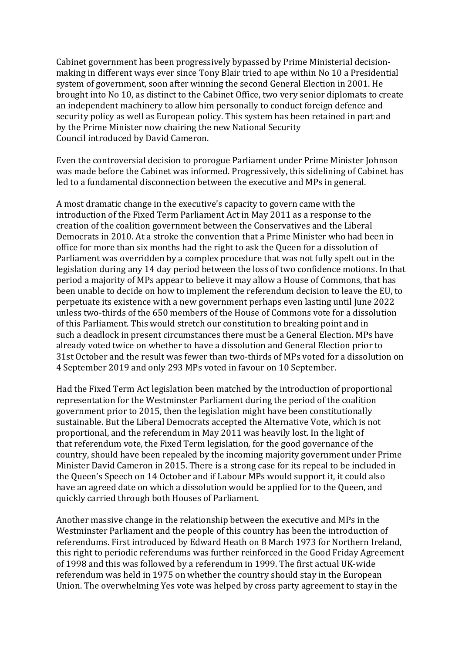Cabinet government has been progressively bypassed by Prime Ministerial decisionmaking in different ways ever since Tony Blair tried to ape within No 10 a Presidential system of government, soon after winning the second General Election in 2001. He brought into No 10, as distinct to the Cabinet Office, two very senior diplomats to create an independent machinery to allow him personally to conduct foreign defence and security policy as well as European policy. This system has been retained in part and by the Prime Minister now chairing the new National Security Council introduced by David Cameron.

Even the controversial decision to prorogue Parliament under Prime Minister Johnson was made before the Cabinet was informed. Progressively, this sidelining of Cabinet has led to a fundamental disconnection between the executive and MPs in general.

A most dramatic change in the executive's capacity to govern came with the introduction of the Fixed Term Parliament Act in May 2011 as a response to the creation of the coalition government between the Conservatives and the Liberal Democrats in 2010. At a stroke the convention that a Prime Minister who had been in office for more than six months had the right to ask the Queen for a dissolution of Parliament was overridden by a complex procedure that was not fully spelt out in the legislation during any 14 day period between the loss of two confidence motions. In that period a majority of MPs appear to believe it may allow a House of Commons, that has been unable to decide on how to implement the referendum decision to leave the EU, to perpetuate its existence with a new government perhaps even lasting until June 2022 unless two-thirds of the 650 members of the House of Commons vote for a dissolution of this Parliament. This would stretch our constitution to breaking point and in such a deadlock in present circumstances there must be a General Election. MPs have already voted twice on whether to have a dissolution and General Election prior to 31st October and the result was fewer than two-thirds of MPs voted for a dissolution on 4 September 2019 and only 293 MPs voted in favour on 10 September.

Had the Fixed Term Act legislation been matched by the introduction of proportional representation for the Westminster Parliament during the period of the coalition government prior to 2015, then the legislation might have been constitutionally sustainable. But the Liberal Democrats accepted the Alternative Vote, which is not proportional, and the referendum in May 2011 was heavily lost. In the light of that referendum vote, the Fixed Term legislation, for the good governance of the country, should have been repealed by the incoming majority government under Prime Minister David Cameron in 2015. There is a strong case for its repeal to be included in the Queen's Speech on 14 October and if Labour MPs would support it, it could also have an agreed date on which a dissolution would be applied for to the Queen, and quickly carried through both Houses of Parliament.

Another massive change in the relationship between the executive and MPs in the Westminster Parliament and the people of this country has been the introduction of referendums. First introduced by Edward Heath on 8 March 1973 for Northern Ireland, this right to periodic referendums was further reinforced in the Good Friday Agreement of 1998 and this was followed by a referendum in 1999. The first actual UK-wide referendum was held in 1975 on whether the country should stay in the European Union. The overwhelming Yes vote was helped by cross party agreement to stay in the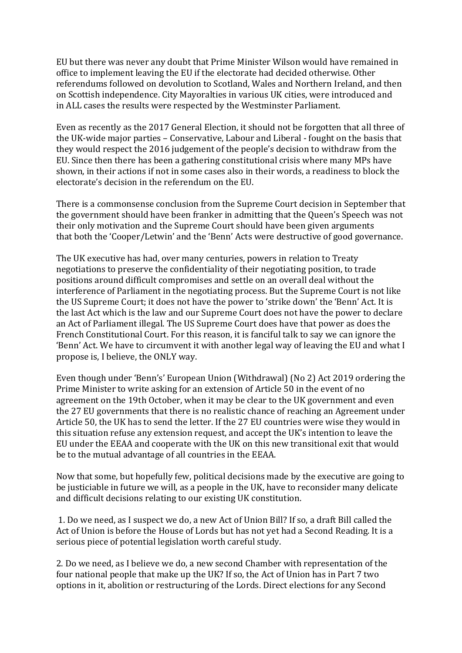EU but there was never any doubt that Prime Minister Wilson would have remained in office to implement leaving the EU if the electorate had decided otherwise. Other referendums followed on devolution to Scotland, Wales and Northern Ireland, and then on Scottish independence. City Mayoralties in various UK cities, were introduced and in ALL cases the results were respected by the Westminster Parliament.

Even as recently as the 2017 General Election, it should not be forgotten that all three of the UK-wide major parties - Conservative, Labour and Liberal - fought on the basis that they would respect the 2016 judgement of the people's decision to withdraw from the EU. Since then there has been a gathering constitutional crisis where many MPs have shown, in their actions if not in some cases also in their words, a readiness to block the electorate's decision in the referendum on the EU.

There is a commonsense conclusion from the Supreme Court decision in September that the government should have been franker in admitting that the Queen's Speech was not their only motivation and the Supreme Court should have been given arguments that both the 'Cooper/Letwin' and the 'Benn' Acts were destructive of good governance.

The UK executive has had, over many centuries, powers in relation to Treaty negotiations to preserve the confidentiality of their negotiating position, to trade positions around difficult compromises and settle on an overall deal without the interference of Parliament in the negotiating process. But the Supreme Court is not like the US Supreme Court; it does not have the power to 'strike down' the 'Benn' Act. It is the last Act which is the law and our Supreme Court does not have the power to declare an Act of Parliament illegal. The US Supreme Court does have that power as does the French Constitutional Court. For this reason, it is fanciful talk to say we can ignore the 'Benn' Act. We have to circumvent it with another legal way of leaving the EU and what I propose is, I believe, the ONLY way.

Even though under 'Benn's' European Union (Withdrawal) (No 2) Act 2019 ordering the Prime Minister to write asking for an extension of Article 50 in the event of no agreement on the 19th October, when it may be clear to the UK government and even the 27 EU governments that there is no realistic chance of reaching an Agreement under Article 50, the UK has to send the letter. If the 27 EU countries were wise they would in this situation refuse any extension request, and accept the UK's intention to leave the EU under the EEAA and cooperate with the UK on this new transitional exit that would be to the mutual advantage of all countries in the EEAA.

Now that some, but hopefully few, political decisions made by the executive are going to be justiciable in future we will, as a people in the UK, have to reconsider many delicate and difficult decisions relating to our existing UK constitution.

1. Do we need, as I suspect we do, a new Act of Union Bill? If so, a draft Bill called the Act of Union is before the House of Lords but has not yet had a Second Reading. It is a serious piece of potential legislation worth careful study.

2. Do we need, as I believe we do, a new second Chamber with representation of the four national people that make up the UK? If so, the Act of Union has in Part 7 two options in it, abolition or restructuring of the Lords. Direct elections for any Second